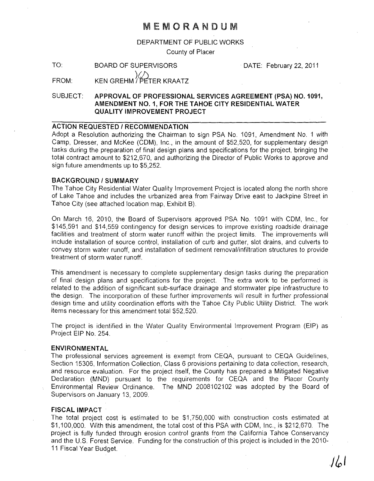# MEMORANDUM

DEPARTMENT OF PUBLIC WORKS

County of Placer

TO: BOARD OF SUPERVISORS DATE: February 22, 2011

#### FROM:  $(\sqrt{2})$ KEN GREHM / PETER KRAATZ

SUBJECT: APPROVAL OF PROFESSIONAL SERVICES AGREEMENT (PSA) NO. 1091, AMENDMENT NO.1, FOR THE TAHOE CITY RESIDENTIAL WATER QUALITY IMPROVEMENT PROJECT

## ACTION REQUESTED / RECOMMENDATION

Adopt a Resolution authorizing the Chairman to sign PSA No. 1091, Amendment No.1 with Camp, Dresser, and McKee (CDM), Inc., in the amount of \$52,520, for supplementary design tasks during the preparation of final design plans and specifications for the project, bringing the total contract amount to \$212,670, and authorizing the Director of Public Works to approve and sign future amendments up to \$5,252.

### BACKGROUND/SUMMARY

The Tahoe City Residential Water Quality Improvement Project is located along the north shore of Lake Tahoe and includes the urbanized area from Fairway Drive east to Jackpine Street in Tahoe City (see attached location map, Exhibit B).

On March 16, 2010, the Board of Supervisors approved PSA No. 1091 with COM, Inc., for \$145,591 and \$14,559 contingency for design services to improve existing roadside drainage facilities and treatment of storm water runoff within the project limits. The improvements will include installation of source control, installation of curb and gutter, slot drains, and culverts to convey storm water runoff, and installation of sediment removal/infiltration structures to provide treatment of storm water runoff.

This amendment is necessary to complete supplementary design tasks during the preparation of final design plans and specifications for the project. The extra work to be performed is related to the addition of significant sub-surface drainage and stormwater pipe infrastructure to the design. The incorporation of these further improvements will result in further professional design time and utility coordination efforts with the Tahoe City Public Utility District. The work items necessary for this amendment total \$52,520.

The project is identified in the Water Quality Environmental Improvement Program (EIP) as Project EIP No. 254.

#### ENVIRONMENTAL

The professional services agreement is exempt from CEQA, pursuant to CEQA Guidelines, Section 15306, Information Collection, Class 6 provisions pertaining to data collection, research, and resource evaluation. For the project itself, the County has prepared a Mitigated Negative Declaration (MND) pursuant to the requirements for CEQA and the Placer County Environmental Review Ordinance. The MND 2008102102 was adopted by the Board of Supervisors on January 13, 2009.

#### FISCAL IMPACT

The total project cost is estimated to be \$1,750,000 with construction costs estimated at \$1,100,000. With this amendment, the total cost of this PSA with COM, Inc., is \$212,670. The project is fully funded through erosion control grants from the California Tahoe Conservancy and the U.S. Forest Service. Funding for the construction of this project is included in the 2010- 11 Fiscal Year Budget.

 $|J_{\phi}|$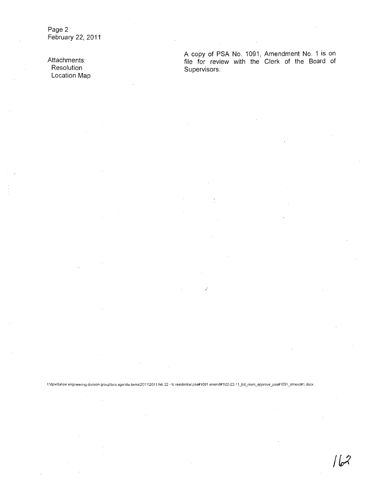**Page 2 February 22, 2011** 

**Attachments: Resolution Location Map** 

A **copy of PSA No. 1091, Amendment No. 1 is on file for review with the Clerk of the Board of Supervisors.** 

)

t:ldpwltahoe engineering division grouplbos agenda items1201112011 feb 22 - te residential psa#1091 amend#1102-22-11\_bd\_mem\_approve\_psa#1091\_amend#1.docx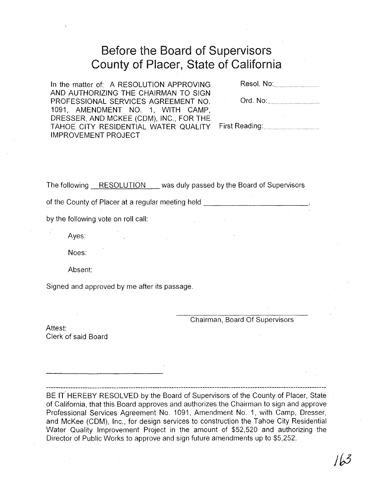# Before the Board of Supervisors County of Placer, State of California

In the matter of: A RESOLUTION APPROVING AND AUTHORIZING THE CHAIRMAN TO SIGN PROFESSIONAL SERVICES AGREEMENT NO. 1091, AMENDMENT NO.1, WITH CAMP, DRESSER, AND MCKEE (COM), INC., FOR THE TAHOE CITY RESIDENTIAL WATER QUALITY IMPROVEMENT PROJECT

Resol. No: ............. .

First Reading: ....................................... .

The following RESOLUTION was duly passed by the Board of Supervisors

of the County of Placer at a regular meeting held

by the following vote on roll call:

Ayes:

Noes:

Absent:

Signed and approved by me after its passage.

Chairman, Board Of Supervisors

Attest: Clerk of said Board

BE IT HEREBY RESOLVED by the Board of Supervisors of the County of Placer, State of California, that this Board approves and authorizes the Chairman to sign and approve Professional Services Agreement No. 1091, Amendment No.1, with Camp, Dresser, and McKee (COM), Inc., for design services to construction the Tahoe City Residential Water Quality Improvement Project in the amount of \$52,520 and authorizing the

Director of Public Works to approve and sign future amendments up to \$5,252.